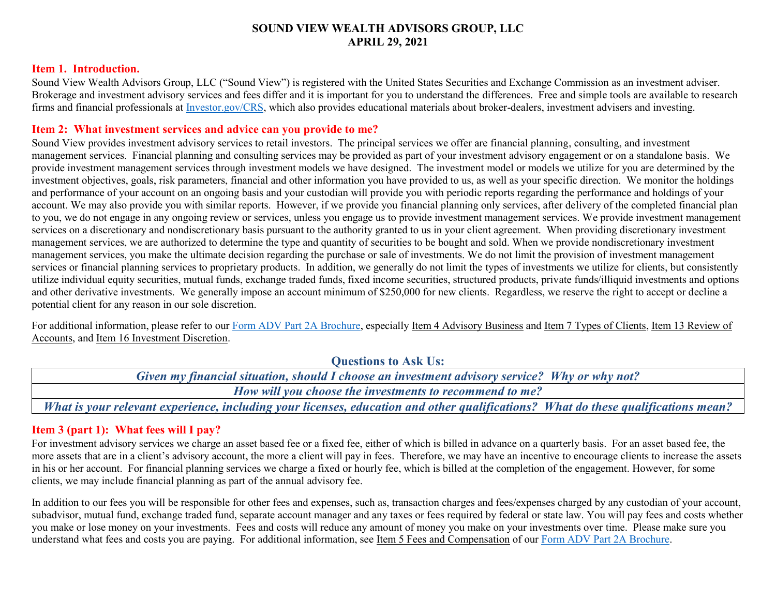### **SOUND VIEW WEALTH ADVISORS GROUP, LLC APRIL 29, 2021**

#### **Item 1. Introduction.**

Sound View Wealth Advisors Group, LLC ("Sound View") is registered with the United States Securities and Exchange Commission as an investment adviser. Brokerage and investment advisory services and fees differ and it is important for you to understand the differences. Free and simple tools are available to research firms and financial professionals a[t Investor.gov/CRS,](https://www.investor.gov/home/welcome-investor-gov-crs) which also provides educational materials about broker-dealers, investment advisers and investing.

#### **Item 2: What investment services and advice can you provide to me?**

Sound View provides investment advisory services to retail investors. The principal services we offer are financial planning, consulting, and investment management services. Financial planning and consulting services may be provided as part of your investment advisory engagement or on a standalone basis. We provide investment management services through investment models we have designed. The investment model or models we utilize for you are determined by the investment objectives, goals, risk parameters, financial and other information you have provided to us, as well as your specific direction. We monitor the holdings and performance of your account on an ongoing basis and your custodian will provide you with periodic reports regarding the performance and holdings of your account. We may also provide you with similar reports. However, if we provide you financial planning only services, after delivery of the completed financial plan to you, we do not engage in any ongoing review or services, unless you engage us to provide investment management services. We provide investment management services on a discretionary and nondiscretionary basis pursuant to the authority granted to us in your client agreement. When providing discretionary investment management services, we are authorized to determine the type and quantity of securities to be bought and sold. When we provide nondiscretionary investment management services, you make the ultimate decision regarding the purchase or sale of investments. We do not limit the provision of investment management services or financial planning services to proprietary products. In addition, we generally do not limit the types of investments we utilize for clients, but consistently utilize individual equity securities, mutual funds, exchange traded funds, fixed income securities, structured products, private funds/illiquid investments and options and other derivative investments. We generally impose an account minimum of \$250,000 for new clients. Regardless, we reserve the right to accept or decline a potential client for any reason in our sole discretion.

For additional information, please refer to our [Form ADV Part 2A Brochure,](https://adviserinfo.sec.gov/firm/summary/300927) especially Item 4 Advisory Business and Item 7 Types of Clients, Item 13 Review of Accounts, and Item 16 Investment Discretion.

| $\sim$ acoupled to those cover                                                                                                    |
|-----------------------------------------------------------------------------------------------------------------------------------|
| Given my financial situation, should I choose an investment advisory service? Why or why not?                                     |
| How will you choose the investments to recommend to me?                                                                           |
| What is your relevant experience, including your licenses, education and other qualifications? What do these qualifications mean? |

**Questions to Ask Us:**

## **Item 3 (part 1): What fees will I pay?**

For investment advisory services we charge an asset based fee or a fixed fee, either of which is billed in advance on a quarterly basis. For an asset based fee, the more assets that are in a client's advisory account, the more a client will pay in fees. Therefore, we may have an incentive to encourage clients to increase the assets in his or her account. For financial planning services we charge a fixed or hourly fee, which is billed at the completion of the engagement. However, for some clients, we may include financial planning as part of the annual advisory fee.

In addition to our fees you will be responsible for other fees and expenses, such as, transaction charges and fees/expenses charged by any custodian of your account, subadvisor, mutual fund, exchange traded fund, separate account manager and any taxes or fees required by federal or state law. You will pay fees and costs whether you make or lose money on your investments. Fees and costs will reduce any amount of money you make on your investments over time. Please make sure you understand what fees and costs you are paying. For additional information, see Item 5 Fees and Compensation of our [Form ADV Part 2A Brochure.](https://adviserinfo.sec.gov/firm/summary/300927)